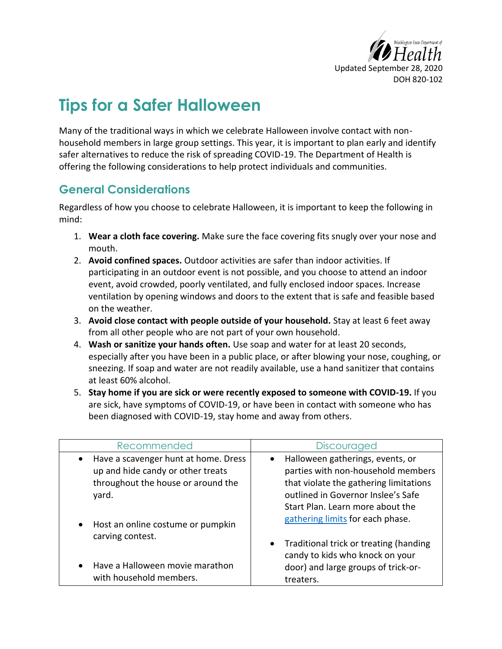

## **Tips for a Safer Halloween**

Many of the traditional ways in which we celebrate Halloween involve contact with nonhousehold members in large group settings. This year, it is important to plan early and identify safer alternatives to reduce the risk of spreading COVID-19. The Department of Health is offering the following considerations to help protect individuals and communities.

## **General Considerations**

Regardless of how you choose to celebrate Halloween, it is important to keep the following in mind:

- 1. **Wear a cloth face covering.** Make sure the face covering fits snugly over your nose and mouth.
- 2. **Avoid confined spaces.** Outdoor activities are safer than indoor activities. If participating in an outdoor event is not possible, and you choose to attend an indoor event, avoid crowded, poorly ventilated, and fully enclosed indoor spaces. Increase ventilation by opening windows and doors to the extent that is safe and feasible based on the weather.
- 3. **Avoid close contact with people outside of your household.** Stay at least 6 feet away from all other people who are not part of your own household.
- 4. **Wash or sanitize your hands often.** Use soap and water for at least 20 seconds, especially after you have been in a public place, or after blowing your nose, coughing, or sneezing. If soap and water are not readily available, use a hand sanitizer that contains at least 60% alcohol.
- 5. **Stay home if you are sick or were recently exposed to someone with COVID-19.** If you are sick, have symptoms of COVID-19, or have been in contact with someone who has been diagnosed with COVID-19, stay home and away from others.

| Recommended                                                                                                                           | Discouraged                                                                                                                                                                                                                                 |
|---------------------------------------------------------------------------------------------------------------------------------------|---------------------------------------------------------------------------------------------------------------------------------------------------------------------------------------------------------------------------------------------|
| Have a scavenger hunt at home. Dress<br>$\bullet$<br>up and hide candy or other treats<br>throughout the house or around the<br>yard. | Halloween gatherings, events, or<br>$\bullet$<br>parties with non-household members<br>that violate the gathering limitations<br>outlined in Governor Inslee's Safe<br>Start Plan. Learn more about the<br>gathering limits for each phase. |
| Host an online costume or pumpkin<br>$\bullet$<br>carving contest.<br>• Have a Halloween movie marathon                               | Traditional trick or treating (handing<br>$\bullet$<br>candy to kids who knock on your<br>door) and large groups of trick-or-                                                                                                               |
| with household members.                                                                                                               | treaters.                                                                                                                                                                                                                                   |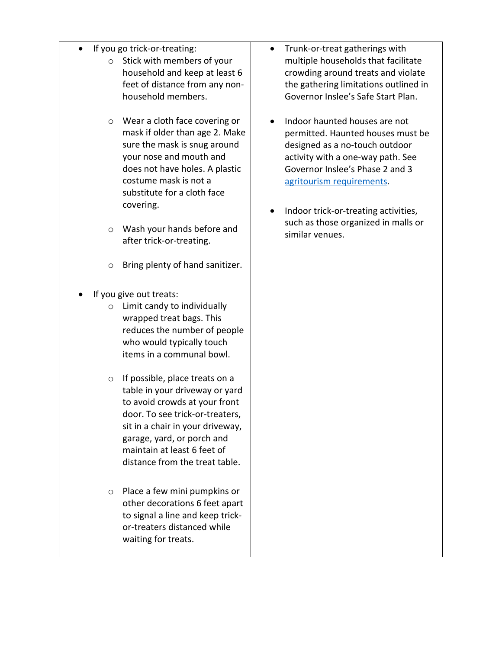- If you go trick-or-treating:
	- o Stick with members of your household and keep at least 6 feet of distance from any nonhousehold members.
	- o Wear a cloth face covering or mask if older than age 2. Make sure the mask is snug around your nose and mouth and does not have holes. A plastic costume mask is not a substitute for a cloth face covering.
	- o Wash your hands before and after trick-or-treating.
	- o Bring plenty of hand sanitizer.
- If you give out treats:
	- o Limit candy to individually wrapped treat bags. This reduces the number of people who would typically touch items in a communal bowl.
	- o If possible, place treats on a table in your driveway or yard to avoid crowds at your front door. To see trick-or-treaters, sit in a chair in your driveway, garage, yard, or porch and maintain at least 6 feet of distance from the treat table.
	- o Place a few mini pumpkins or other decorations 6 feet apart to signal a line and keep trickor-treaters distanced while waiting for treats.
- Trunk-or-treat gatherings with multiple households that facilitate crowding around treats and violate the gathering limitations outlined in Governor Inslee's Safe Start Plan.
- Indoor haunted houses are not permitted. Haunted houses must be designed as a no-touch outdoor activity with a one-way path. See Governor Inslee's Phase 2 and 3 [agritourism requirements.](https://www.governor.wa.gov/sites/default/files/COVID19%20Phase%202%20Agritourism%20Guidance.pdf?utm_medium=email&utm_source=govdelivery)
- Indoor trick-or-treating activities, such as those organized in malls or similar venues.